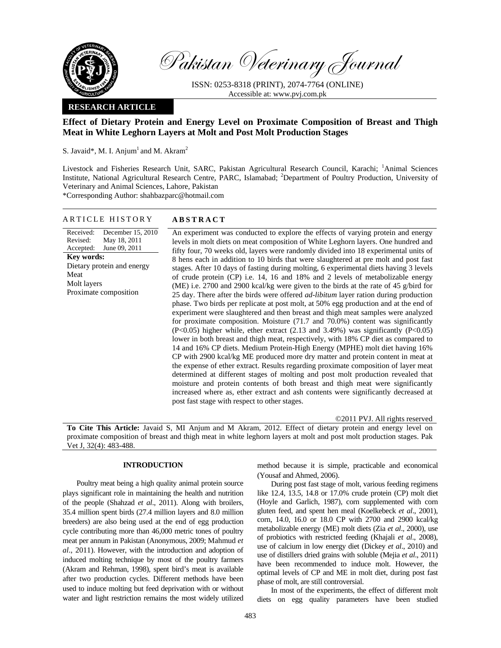

Pakistan Veterinary Journal

ISSN: 0253-8318 (PRINT), 2074-7764 (ONLINE) Accessible at: www.pvj.com.pk

### **RESEARCH ARTICLE**

# **Effect of Dietary Protein and Energy Level on Proximate Composition of Breast and Thigh Meat in White Leghorn Layers at Molt and Post Molt Production Stages**

S. Javaid\*, M. I. Anjum<sup>1</sup> and M. Akram<sup>2</sup>

Livestock and Fisheries Research Unit, SARC, Pakistan Agricultural Research Council, Karachi; <sup>1</sup>Animal Sciences Institute, National Agricultural Research Centre, PARC, Islamabad; <sup>2</sup>Department of Poultry Production, University of Veterinary and Animal Sciences, Lahore, Pakistan

\*Corresponding Author: shahbazparc@hotmail.com

#### ARTICLE HISTORY **ABSTRACT**

Received: Revised: Accepted: December 15, 2010 May 18, 2011 June 09, 2011 **Key words:**  Dietary protein and energy Meat Molt layers Proximate composition

An experiment was conducted to explore the effects of varying protein and energy levels in molt diets on meat composition of White Leghorn layers. One hundred and fifty four, 70 weeks old, layers were randomly divided into 18 experimental units of 8 hens each in addition to 10 birds that were slaughtered at pre molt and post fast stages. After 10 days of fasting during molting, 6 experimental diets having 3 levels of crude protein (CP) i.e. 14, 16 and 18% and 2 levels of metabolizable energy (ME) i.e. 2700 and 2900 kcal/kg were given to the birds at the rate of 45 g/bird for 25 day. There after the birds were offered *ad-libitum* layer ration during production phase. Two birds per replicate at post molt, at 50% egg production and at the end of experiment were slaughtered and then breast and thigh meat samples were analyzed for proximate composition. Moisture (71.7 and 70.0%) content was significantly  $(P<0.05)$  higher while, ether extract (2.13 and 3.49%) was significantly  $(P<0.05)$ lower in both breast and thigh meat, respectively, with 18% CP diet as compared to 14 and 16% CP diets. Medium Protein-High Energy (MPHE) molt diet having 16% CP with 2900 kcal/kg ME produced more dry matter and protein content in meat at the expense of ether extract. Results regarding proximate composition of layer meat determined at different stages of molting and post molt production revealed that moisture and protein contents of both breast and thigh meat were significantly increased where as, ether extract and ash contents were significantly decreased at post fast stage with respect to other stages.

©2011 PVJ. All rights reserved

**To Cite This Article:** Javaid S, MI Anjum and M Akram, 2012. Effect of dietary protein and energy level on proximate composition of breast and thigh meat in white leghorn layers at molt and post molt production stages. Pak Vet J, 32(4): 483-488.

# **INTRODUCTION**

Poultry meat being a high quality animal protein source plays significant role in maintaining the health and nutrition of the people (Shahzad *et al*., 2011). Along with broilers, 35.4 million spent birds (27.4 million layers and 8.0 million breeders) are also being used at the end of egg production cycle contributing more than 46,000 metric tones of poultry meat per annum in Pakistan (Anonymous, 2009; Mahmud *et al*., 2011). However, with the introduction and adoption of induced molting technique by most of the poultry farmers (Akram and Rehman, 1998), spent bird's meat is available after two production cycles. Different methods have been used to induce molting but feed deprivation with or without water and light restriction remains the most widely utilized

method because it is simple, practicable and economical (Yousaf and Ahmed, 2006).

During post fast stage of molt, various feeding regimens like 12.4, 13.5, 14.8 or 17.0% crude protein (CP) molt diet (Hoyle and Garlich, 1987), corn supplemented with corn gluten feed, and spent hen meal (Koelkebeck *et al*., 2001), corn, 14.0, 16.0 or 18.0 CP with 2700 and 2900 kcal/kg metabolizable energy (ME) molt diets (Zia *et al*.*,* 2000), use of probiotics with restricted feeding (Khajali *et al*., 2008), use of calcium in low energy diet (Dickey *et al*., 2010) and use of distillers dried grains with soluble (Mejia *et al*., 2011) have been recommended to induce molt. However, the optimal levels of CP and ME in molt diet, during post fast phase of molt, are still controversial.

In most of the experiments, the effect of different molt diets on egg quality parameters have been studied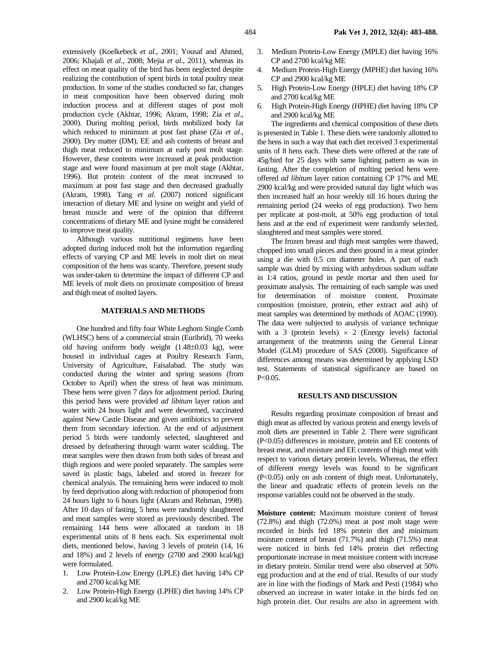extensively (Koelkebeck *et al*., 2001; Yousaf and Ahmed, 2006; Khajali *et al*., 2008; Mejia *et al*., 2011), whereas its effect on meat quality of the bird has been neglected despite realizing the contribution of spent birds in total poultry meat production. In some of the studies conducted so far, changes in meat composition have been observed during molt induction process and at different stages of post molt production cycle (Akhtar, 1996; Akram, 1998; Zia *et al*., 2000). During molting period, birds mobilized body fat which reduced to minimum at post fast phase (Zia *et al*., 2000)*.* Dry matter (DM), EE and ash contents of breast and thigh meat reduced to minimum at early post molt stage. However, these contents were increased at peak production stage and were found maximum at pre molt stage (Akhtar, 1996). But protein content of the meat increased to maximum at post fast stage and then decreased gradually (Akram, 1998)*.* Tang *et al*. (2007) noticed significant interaction of dietary ME and lysine on weight and yield of breast muscle and were of the opinion that different concentrations of dietary ME and lysine might be considered to improve meat quality.

Although various nutritional regimens have been adopted during induced molt but the information regarding effects of varying CP and ME levels in molt diet on meat composition of the hens was scanty. Therefore, present study was under-taken to determine the impact of different CP and ME levels of molt diets on proximate composition of breast and thigh meat of molted layers.

### **MATERIALS AND METHODS**

One hundred and fifty four White Leghorn Single Comb (WLHSC) hens of a commercial strain (Euribrid), 70 weeks old having uniform body weight (1.48±0.03 kg), were housed in individual cages at Poultry Research Farm, University of Agriculture, Faisalabad. The study was conducted during the winter and spring seasons (from October to April) when the stress of heat was minimum. These hens were given 7 days for adjustment period. During this period hens were provided *ad libitum* layer ration and water with 24 hours light and were dewormed, vaccinated against New Castle Disease and given antibiotics to prevent them from secondary infection. At the end of adjustment period 5 birds were randomly selected, slaughtered and dressed by defeathering through warm water scalding. The meat samples were then drawn from both sides of breast and thigh regions and were pooled separately. The samples were saved in plastic bags, labeled and stored in freezer for chemical analysis. The remaining hens were induced to molt by feed deprivation along with reduction of photoperiod from 24 hours light to 6 hours light (Akram and Rehman, 1998). After 10 days of fasting, 5 hens were randomly slaughtered and meat samples were stored as previously described. The remaining 144 hens were allocated at random in 18 experimental units of 8 hens each. Six experimental molt diets, mentioned below, having 3 levels of protein (14, 16 and 18%) and 2 levels of energy (2700 and 2900 kcal/kg) were formulated.

- 1. Low Protein-Low Energy (LPLE) diet having 14% CP and 2700 kcal/kg ME
- 2. Low Protein-High Energy (LPHE) diet having 14% CP and 2900 kcal/kg ME
- 3. Medium Protein-Low Energy (MPLE) diet having 16% CP and 2700 kcal/kg ME
- 4. Medium Protein-High Energy (MPHE) diet having 16% CP and 2900 kcal/kg ME
- 5. High Protein-Low Energy (HPLE) diet having 18% CP and 2700 kcal/kg ME
- 6. High Protein-High Energy (HPHE) diet having 18% CP and 2900 kcal/kg ME

The ingredients and chemical composition of these diets is presented in Table 1. These diets were randomly allotted to the hens in such a way that each diet received 3 experimental units of 8 hens each. These diets were offered at the rate of 45g/bird for 25 days with same lighting pattern as was in fasting. After the completion of molting period hens were offered *ad libitum* layer ration containing CP 17% and ME 2900 kcal/kg and were provided natural day light which was then increased half an hour weekly till 16 hours during the remaining period (24 weeks of egg production). Two hens per replicate at post-molt, at 50% egg production of total hens and at the end of experiment were randomly selected, slaughtered and meat samples were stored.

The frozen breast and thigh meat samples were thawed, chopped into small pieces and then ground in a meat grinder using a die with 0.5 cm diameter holes. A part of each sample was dried by mixing with anhydrous sodium sulfate in 1:4 ratios, ground in pestle mortar and then used for proximate analysis. The remaining of each sample was used for determination of moisture content. Proximate composition (moisture, protein, ether extract and ash) of meat samples was determined by methods of AOAC (1990). The data were subjected to analysis of variance technique with a 3 (protein levels)  $\times$  2 (Energy levels) factorial arrangement of the treatments using the General Linear Model (GLM) procedure of SAS (2000). Significance of differences among means was determined by applying LSD test. Statements of statistical significance are based on P<0.05.

## **RESULTS AND DISCUSSION**

Results regarding proximate composition of breast and thigh meat as affected by various protein and energy levels of molt diets are presented in Table 2. There were significant (P<0.05) differences in moisture, protein and EE contents of breast meat, and moisture and EE contents of thigh meat with respect to various dietary protein levels. Whereas, the effect of different energy levels was found to be significant (P<0.05) only on ash content of thigh meat. Unfortunately, the linear and quadratic effects of protein levels on the response variables could not be observed in the study.

**Moisture content:** Maximum moisture content of breast (72.8%) and thigh (72.0%) meat at post molt stage were recorded in birds fed 18% protein diet and minimum moisture content of breast (71.7%) and thigh (71.5%) meat were noticed in birds fed 14% protein diet reflecting proportionate increase in meat moisture content with increase in dietary protein. Similar trend were also observed at 50% egg production and at the end of trial. Results of our study are in line with the findings of Mark and Pesti (1984) who observed an increase in water intake in the birds fed on high protein diet. Our results are also in agreement with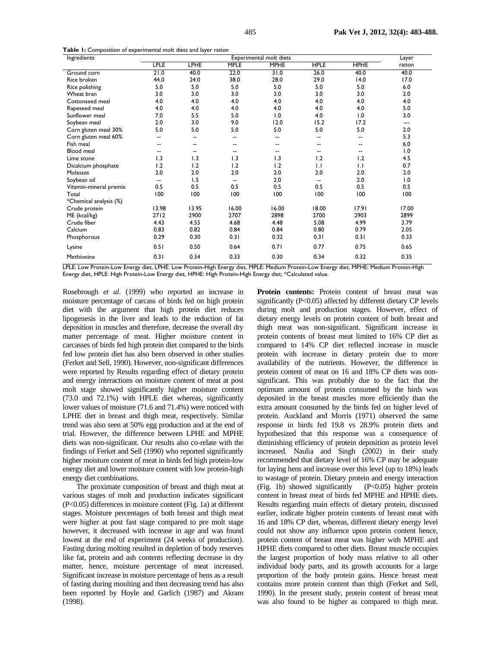**Table 1:** Composition of experimental molt diets and layer ration

| Ingredients            |                          | Layer       |                          |                |                          |             |        |
|------------------------|--------------------------|-------------|--------------------------|----------------|--------------------------|-------------|--------|
|                        | <b>LPLE</b>              | <b>LPHE</b> | <b>MPLE</b>              | <b>MPHE</b>    | <b>HPLE</b>              | <b>HPHE</b> | ration |
| Ground corn            | 21.0                     | 40.0        | 22.0                     | 31.0           | 26.0                     | 40.0        | 40.0   |
| Rice broken            | 44.0                     | 24.0        | 38.0                     | 28.0           | 29.0                     | 14.0        | 17.0   |
| Rice polishing         | 5.0                      | 5.0         | 5.0                      | 5.0            | 5.0                      | 5.0         | 6.0    |
| Wheat bran             | 3.0                      | 3.0         | 3.0                      | 3.0            | 3.0                      | 3.0         | 2.0    |
| Cottonseed meal        | 4.0                      | 4.0         | 4.0                      | 4.0            | 4.0                      | 4.0         | 4.0    |
| Rapeseed meal          | 4.0                      | 4.0         | 4.0                      | 4.0            | 4.0                      | 4.0         | 5.0    |
| Sunflower meal         | 7.0                      | 5.5         | 5.0                      | 0.1            | 4.0                      | 1.0         | 3.0    |
| Soybean meal           | 2.0                      | 3.0         | 9.0                      | 12.0           | 15.2                     | 17.2        | ---    |
| Corn gluten meal 30%   | 5.0                      | 5.0         | 5.0                      | 5.0            | 5.0                      | 5.0         | 2.0    |
| Corn gluten meal 60%   | $\overline{\phantom{a}}$ | --          | $\overline{\phantom{a}}$ | $\overline{a}$ | --                       | --          | 5.3    |
| Fish meal              | --                       | --          | $\overline{\phantom{a}}$ | $\overline{a}$ | $\overline{\phantom{a}}$ | --          | 6.0    |
| <b>Blood</b> meal      | --                       | --          | $\overline{\phantom{a}}$ | --             | $- -$                    | --          | 1.0    |
| Lime stone             | 1.3                      | 1.3         | 1.3                      | 1.3            | 1.2                      | 1.2         | 4.5    |
| Dicalcium phosphate    | 1.2                      | 1.2         | 1.2                      | 1.2            | 1.1                      | 1.1         | 0.7    |
| <b>Molasses</b>        | 2.0                      | 2.0         | 2.0                      | 2.0            | 2.0                      | 2.0         | 2.0    |
| Soybean oil            | $\overline{a}$           | 1.5         | $\overline{\phantom{a}}$ | 2.0            | $\overline{\phantom{a}}$ | 2.0         | 1.0    |
| Vitamin-mineral premix | 0.5                      | 0.5         | 0.5                      | 0.5            | 0.5                      | 0.5         | 0.5    |
| Total                  | 100                      | 100         | 100                      | 100            | 100                      | 100         | 100    |
| *Chemical analysis (%) |                          |             |                          |                |                          |             |        |
| Crude protein          | 13.98                    | 13.95       | 16.00                    | 16.00          | 18.00                    | 17.91       | 17.00  |
| ME (kcal/kg)           | 2712                     | 2900        | 2707                     | 2898           | 2700                     | 2903        | 2899   |
| Crude fiber            | 4.43                     | 4.55        | 4.68                     | 4.48           | 5.08                     | 4.99        | 3.79   |
| Calcium                | 0.83                     | 0.82        | 0.84                     | 0.84           | 0.80                     | 0.79        | 2.05   |
| Phosphorous            | 0.29                     | 0.30        | 0.31                     | 0.32           | 0.31                     | 0.31        | 0.33   |
| Lysine                 | 0.51                     | 0.50        | 0.64                     | 0.71           | 0.77                     | 0.75        | 0.65   |
| Methionine             | 0.31                     | 0.34        | 0.33                     | 0.30           | 0.34                     | 0.32        | 0.35   |

LPLE: Low Protein-Low Energy diet, LPHE: Low Protein-High Energy diet, MPLE: Medium Protein-Low Energy diet, MPHE: Medium Protein-High Energy diet, HPLE: High Protein-Low Energy diet, HPHE: High Protein-High Energy diet; \*Calculated value.

Rosebrough *et al*. (1999) who reported an increase in moisture percentage of carcass of birds fed on high protein diet with the argument that high protein diet reduces lipogenesis in the liver and leads to the reduction of fat deposition in muscles and therefore, decrease the overall dry matter percentage of meat. Higher moisture content in carcasses of birds fed high protein diet compared to the birds fed low protein diet has also been observed in other studies (Ferket and Sell, 1990). However, non-significant differences were reported by Results regarding effect of dietary protein and energy interactions on moisture content of meat at post molt stage showed significantly higher moisture content (73.0 and 72.1%) with HPLE diet whereas, significantly lower values of moisture (71.6 and 71.4%) were noticed with LPHE diet in breast and thigh meat, respectively. Similar trend was also seen at 50% egg production and at the end of trial. However, the difference between LPHE and MPHE diets was non-significant. Our results also co-relate with the findings of Ferket and Sell (1990) who reported significantly higher moisture content of meat in birds fed high protein-low energy diet and lower moisture content with low protein-high energy diet combinations.

The proximate composition of breast and thigh meat at various stages of molt and production indicates significant (P<0.05) differences in moisture content (Fig. 1a) at different stages. Moisture percentages of both breast and thigh meat were higher at post fast stage compared to pre molt stage however, it decreased with increase in age and was found lowest at the end of experiment (24 weeks of production). Fasting during molting resulted in depletion of body reserves like fat, protein and ash contents reflecting decrease in dry matter, hence, moisture percentage of meat increased. Significant increase in moisture percentage of hens as a result of fasting during moulting and then decreasing trend has also been reported by Hoyle and Garlich (1987) and Akram (1998).

Protein contents: Protein content of breast meat was significantly (P<0.05) affected by different dietary CP levels during molt and production stages. However, effect of dietary energy levels on protein content of both breast and thigh meat was non-significant. Significant increase in protein contents of breast meat limited to 16% CP diet as compared to 14% CP diet reflected increase in muscle protein with increase in dietary protein due to more availability of the nutrients. However, the difference in protein content of meat on 16 and 18% CP diets was nonsignificant. This was probably due to the fact that the optimum amount of protein consumed by the birds was deposited in the breast muscles more efficiently than the extra amount consumed by the birds fed on higher level of protein. Auckland and Morris (1971) observed the same response in birds fed 19.8 vs 28.9% protein diets and hypothesized that this response was a consequence of diminishing efficiency of protein deposition as protein level increased. Naulia and Singh (2002) in their study recommended that dietary level of 16% CP may be adequate for laying hens and increase over this level (up to 18%) leads to wastage of protein. Dietary protein and energy interaction (Fig. 1b) showed significantly (P<0.05) higher protein content in breast meat of birds fed MPHE and HPHE diets. Results regarding main effects of dietary protein, discussed earlier, indicate higher protein contents of breast meat with 16 and 18% CP diet, whereas, different dietary energy level could not show any influence upon protein content hence, protein content of breast meat was higher with MPHE and HPHE diets compared to other diets. Breast muscle occupies the largest proportion of body mass relative to all other individual body parts, and its growth accounts for a large proportion of the body protein gains. Hence breast meat contains more protein content than thigh (Ferket and Sell, 1990). In the present study, protein content of breast meat was also found to be higher as compared to thigh meat.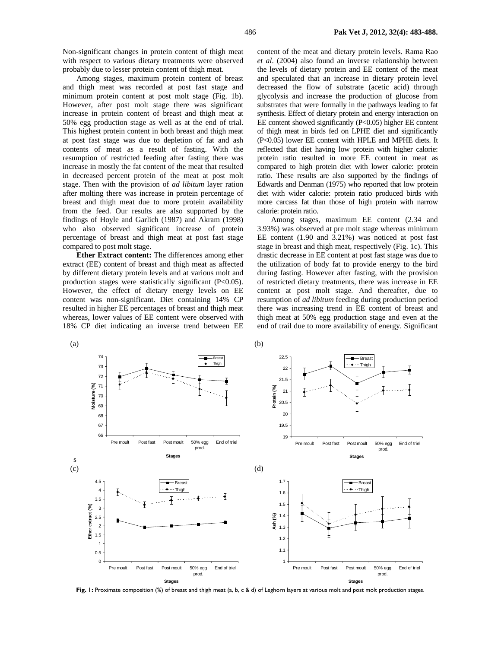Non-significant changes in protein content of thigh meat with respect to various dietary treatments were observed probably due to lesser protein content of thigh meat.

Among stages, maximum protein content of breast and thigh meat was recorded at post fast stage and minimum protein content at post molt stage (Fig. 1b). However, after post molt stage there was significant increase in protein content of breast and thigh meat at 50% egg production stage as well as at the end of trial. This highest protein content in both breast and thigh meat at post fast stage was due to depletion of fat and ash contents of meat as a result of fasting. With the resumption of restricted feeding after fasting there was increase in mostly the fat content of the meat that resulted in decreased percent protein of the meat at post molt stage. Then with the provision of *ad libitum* layer ration after molting there was increase in protein percentage of breast and thigh meat due to more protein availability from the feed. Our results are also supported by the findings of Hoyle and Garlich (1987) and Akram (1998) who also observed significant increase of protein percentage of breast and thigh meat at post fast stage compared to post molt stage.

**Ether Extract content:** The differences among ether extract (EE) content of breast and thigh meat as affected by different dietary protein levels and at various molt and production stages were statistically significant (P<0.05). However, the effect of dietary energy levels on EE content was non-significant. Diet containing 14% CP resulted in higher EE percentages of breast and thigh meat whereas, lower values of EE content were observed with 18% CP diet indicating an inverse trend between EE

content of the meat and dietary protein levels. Rama Rao *et al*. (2004) also found an inverse relationship between the levels of dietary protein and EE content of the meat and speculated that an increase in dietary protein level decreased the flow of substrate (acetic acid) through glycolysis and increase the production of glucose from substrates that were formally in the pathways leading to fat synthesis. Effect of dietary protein and energy interaction on EE content showed significantly (P<0.05) higher EE content of thigh meat in birds fed on LPHE diet and significantly (P<0.05) lower EE content with HPLE and MPHE diets. It reflected that diet having low protein with higher calorie: protein ratio resulted in more EE content in meat as compared to high protein diet with lower calorie: protein ratio. These results are also supported by the findings of Edwards and Denman (1975) who reported that low protein diet with wider calorie: protein ratio produced birds with more carcass fat than those of high protein with narrow calorie: protein ratio.

Among stages, maximum EE content (2.34 and 3.93%) was observed at pre molt stage whereas minimum EE content (1.90 and 3.21%) was noticed at post fast stage in breast and thigh meat, respectively (Fig. 1c). This drastic decrease in EE content at post fast stage was due to the utilization of body fat to provide energy to the bird during fasting. However after fasting, with the provision of restricted dietary treatments, there was increase in EE content at post molt stage. And thereafter, due to resumption of *ad libitum* feeding during production period there was increasing trend in EE content of breast and thigh meat at 50% egg production stage and even at the end of trail due to more availability of energy. Significant



Fig. 1: Proximate composition (%) of breast and thigh meat (a, b, c & d) of Leghorn layers at various molt and post molt production stages.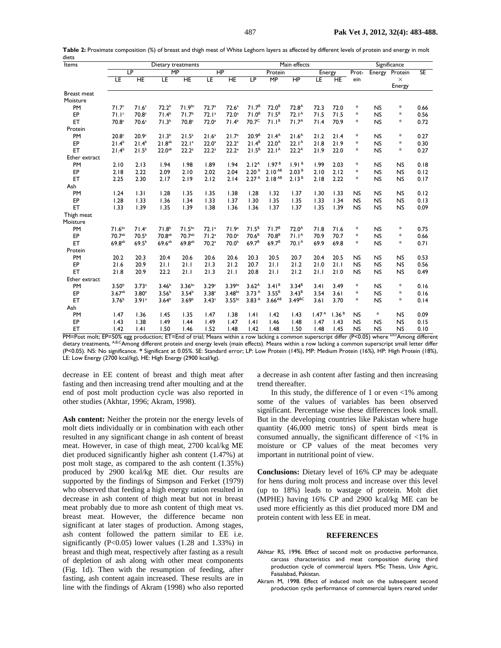| Items         |                       | Dietary treatments |                    |                    |                   |                    | Main effects      |                    |                   |                   |                   | Significance |           |                    |      |
|---------------|-----------------------|--------------------|--------------------|--------------------|-------------------|--------------------|-------------------|--------------------|-------------------|-------------------|-------------------|--------------|-----------|--------------------|------|
|               | LP<br>$\overline{MP}$ |                    |                    |                    | $\overline{HP}$   |                    | Protein           | Energy             |                   | Prot-             |                   | Energy       | Protein   | <b>SE</b>          |      |
|               | ΤE                    | HE                 | ΙE                 | ΗE                 | ΙE                | ΗE                 | ΤĿΡ               | MP                 | HP                | ΤE                | HE                | ein          |           | $\times$<br>Energy |      |
| Breast meat   |                       |                    |                    |                    |                   |                    |                   |                    |                   |                   |                   |              |           |                    |      |
| Moisture      |                       |                    |                    |                    |                   |                    |                   |                    |                   |                   |                   |              |           |                    |      |
| PM            | 71.7 <sup>c</sup>     | 71.6 <sup>c</sup>  | 72.2 <sup>b</sup>  | $71.9^{bc}$        | 72.7 <sup>a</sup> | 72.6 <sup>a</sup>  | 71.7 <sup>B</sup> | 72.0 <sup>B</sup>  | 72.8 <sup>A</sup> | 72.3              | 72.0              | *            | <b>NS</b> | $\ast$             | 0.66 |
| EP            | 71.1 <sup>c</sup>     | 70.8c              | 71.4 <sup>b</sup>  | 71.7 <sup>b</sup>  | 72.1 <sup>a</sup> | 72.0 <sup>a</sup>  | 71.0 <sup>B</sup> | 71.5 <sup>B</sup>  | 72.1 <sup>A</sup> | 71.5              | 71.5              | *            | <b>NS</b> | $\ast$             | 0.56 |
| ET            | 70.8 <sup>c</sup>     | 70.6 <sup>c</sup>  | 71.3 <sup>b</sup>  | 70.8 <sup>c</sup>  | $72.0^a$          | 71.4 <sup>b</sup>  | 70.7 <sup>C</sup> | 71.1 <sup>B</sup>  | 71.7 <sup>A</sup> | 71.4              | 70.9              | *            | <b>NS</b> | *                  | 0.72 |
| Protein       |                       |                    |                    |                    |                   |                    |                   |                    |                   |                   |                   |              |           |                    |      |
| PM            | 20.8 <sup>c</sup>     | 20.9 <sup>c</sup>  | 21.3 <sup>b</sup>  | 21.5 <sup>a</sup>  | 21.6 <sup>a</sup> | 21.7 <sup>a</sup>  | 20.9 <sup>B</sup> | 21.4 <sup>A</sup>  | 21.6 <sup>A</sup> | 21.2              | 21.4              | *            | <b>NS</b> | $\ast$             | 0.27 |
| EP            | $21.4^{b}$            | $21.4^{b}$         | 21.8 <sup>ab</sup> | 22.1 <sup>a</sup>  | $22.0^a$          | 22.2 <sup>a</sup>  | $21.4^B$          | 22.0 <sup>A</sup>  | $22.1^A$          | 21.8              | 21.9              | *            | <b>NS</b> | *                  | 0.30 |
| ET            | $21.4^{b}$            | $21.5^{b}$         | $22.0^{ab}$        | 22.2 <sup>a</sup>  | 22.2 <sup>a</sup> | 22.2 <sup>a</sup>  | $21.5^B$          | 22.1 <sup>A</sup>  | $22.2^A$          | 21.9              | 22.0              | *            | <b>NS</b> | *                  | 0.27 |
| Ether extract |                       |                    |                    |                    |                   |                    |                   |                    |                   |                   |                   |              |           |                    |      |
| PM            | 2.10                  | 2.13               | 1.94               | 1.98               | 1.89              | 1.94               | 2.12 <sup>A</sup> | 1.97 <sup>B</sup>  | 1.91 <sup>B</sup> | 1.99              | 2.03              | *            | <b>NS</b> | <b>NS</b>          | 0.18 |
| EP            | 2.18                  | 2.22               | 2.09               | 2.10               | 2.02              | 2.04               | 2.20 <sup>A</sup> | $2.10^{AB}$        | 2.03 <sup>B</sup> | 2.10              | 2.12              | *            | <b>NS</b> | <b>NS</b>          | 0.12 |
| ET            | 2.25                  | 2.30               | 2.17               | 2.19               | 2.12              | 2.14               | 2.27 <sup>A</sup> | 2.18 <sup>AB</sup> | 2.13 <sup>B</sup> | 2.18              | 2.22              | *            | <b>NS</b> | <b>NS</b>          | 0.17 |
| Ash           |                       |                    |                    |                    |                   |                    |                   |                    |                   |                   |                   |              |           |                    |      |
| PM            | 1.24                  | 1.31               | 1.28               | 1.35               | 1.35              | 1.38               | 1.28              | 1.32               | 1.37              | 1.30              | 1.33              | <b>NS</b>    | <b>NS</b> | <b>NS</b>          | 0.12 |
| EP            | 1.28                  | 1.33               | 1.36               | 1.34               | 1.33              | 1.37               | 1.30              | 1.35               | 1.35              | 1.33              | 1.34              | <b>NS</b>    | <b>NS</b> | <b>NS</b>          | 0.13 |
| ET            | 1.33                  | 1.39               | 1.35               | 1.39               | 1.38              | 1.36               | 1.36              | 1.37               | 1.37              | 1.35              | 1.39              | <b>NS</b>    | <b>NS</b> | <b>NS</b>          | 0.09 |
| Thigh meat    |                       |                    |                    |                    |                   |                    |                   |                    |                   |                   |                   |              |           |                    |      |
| Moisture      |                       |                    |                    |                    |                   |                    |                   |                    |                   |                   |                   |              |           |                    |      |
| PM            | $71.6^{bc}$           | 71.4 <sup>c</sup>  | 71.8 <sup>b</sup>  | $71.5^{bc}$        | 72.1 <sup>a</sup> | 71.9 <sup>a</sup>  | $71.5^B$          | 71.7 <sup>B</sup>  | $72.0^A$          | 71.8              | 71.6              | *            | <b>NS</b> | $\ast$             | 0.75 |
| EP            | 70.7ab                | 70.5 <sup>b</sup>  | 70.8ab             | 70.7ab             | 71.2 <sup>a</sup> | 70.0 <sup>a</sup>  | 70.6 <sup>B</sup> | 70.8 <sup>B</sup>  | 71.1 <sup>A</sup> | 70.9              | 70.7              | *            | <b>NS</b> | $\ast$             | 0.66 |
| ET            | 69.8ab                | 69.5 <sup>b</sup>  | $69.6^{ab}$        | 69.8 <sup>ab</sup> | 70.2 <sup>a</sup> | 70.0 <sup>b</sup>  | $69.7^{B}$        | 69.7 <sup>B</sup>  | 70.1 <sup>A</sup> | 69.9              | 69.8              | *            | <b>NS</b> | *                  | 0.71 |
| Protein       |                       |                    |                    |                    |                   |                    |                   |                    |                   |                   |                   |              |           |                    |      |
| PM            | 20.2                  | 20.3               | 20.4               | 20.6               | 20.6              | 20.6               | 20.3              | 20.5               | 20.7              | 20.4              | 20.5              | <b>NS</b>    | <b>NS</b> | <b>NS</b>          | 0.53 |
| EP            | 21.6                  | 20.9               | 21.1               | 21.1               | 21.3              | 21.2               | 20.7              | 21.1               | 21.2              | 21.0              | 21.1              | <b>NS</b>    | <b>NS</b> | <b>NS</b>          | 0.56 |
| ET            | 21.8                  | 20.9               | 22.2               | 21.1               | 21.3              | 21.1               | 20.8              | 21.1               | 21.2              | 21.1              | 21.0              | <b>NS</b>    | <b>NS</b> | <b>NS</b>          | 0.49 |
| Ether extract |                       |                    |                    |                    |                   |                    |                   |                    |                   |                   |                   |              |           |                    |      |
| PM            | 3.50 <sup>b</sup>     | 3.73 <sup>a</sup>  | 3.46 <sup>b</sup>  | $3.36^{bc}$        | 3.29 <sup>c</sup> | $3.39^{bc}$        | 3.62 <sup>A</sup> | 3.41 <sup>B</sup>  | $3.34^{B}$        | 3.41              | 3.49              | *            | <b>NS</b> | $\ast$             | 0.16 |
| EP            | $3.67^{ab}$           | 3.80 <sup>a</sup>  | 3.56 <sup>b</sup>  | 3.54 <sup>b</sup>  | 3.38 <sup>c</sup> | 3.48 <sub>bc</sub> | 3.73 <sup>A</sup> | $3.55^{B}$         | $3.43^{B}$        | 3.54              | 3.61              | *            | <b>NS</b> | $\ast$             | 0.16 |
| ET            | 3.76 <sup>b</sup>     | 3.91a              | 3.64 <sup>b</sup>  | 3.69 <sup>b</sup>  | 3.43c             | $3.55^{bc}$        | 3.83 <sup>A</sup> | 3.66 <sup>AB</sup> | 3.49BC            | 3.61              | 3.70              | *            | <b>NS</b> | $*$                | 0.14 |
| Ash           |                       |                    |                    |                    |                   |                    |                   |                    |                   |                   |                   |              |           |                    |      |
| PM            | 1.47                  | 1.36               | 1.45               | 1.35               | 1.47              | 1.38               | .4                | 1.42               | 1.43              | 1.47 <sup>A</sup> | 1.36 <sup>B</sup> | <b>NS</b>    | $\ast$    | <b>NS</b>          | 0.09 |
| EP            | 1.43                  | 1.38               | 1.49               | 1.44               | 1.49              | 1.47               | .4                | 1.46               | 1.48              | 1.47              | 1.43              | <b>NS</b>    | <b>NS</b> | <b>NS</b>          | 0.15 |
| ET            | 1.42                  | .4                 | 1.50               | 1.46               | 1.52              | 1.48               | 1.42              | 1.48               | 1.50              | 1.48              | 1.45              | NS           | <b>NS</b> | <b>NS</b>          | 0.10 |

**Table 2:** Proximate composition (%) of breast and thigh meat of White Leghorn layers as affected by different levels of protein and energy in molt diets

 $PM = Post$  molt;  $EP = 50\%$  egg production; ET=End of trial; Means within a row lacking a common superscript differ  $(P < 0.05)$  where a,b,cAmong different dietary treatments, AB,CAmong different protein and energy levels (main effects). Means within a row lacking a common superscript small letter differ (P<0.05). NS: No significance. **\*** Significant at 0.05%. SE: Standard error; LP: Low Protein (14%), MP: Medium Protein (16%), HP: High Protein (18%), LE: Low Energy (2700 kcal/kg), HE: High Energy (2900 kcal/kg).

decrease in EE content of breast and thigh meat after fasting and then increasing trend after moulting and at the end of post molt production cycle was also reported in other studies (Akhtar, 1996; Akram, 1998).

Ash content: Neither the protein nor the energy levels of molt diets individually or in combination with each other resulted in any significant change in ash content of breast meat. However, in case of thigh meat, 2700 kcal/kg ME diet produced significantly higher ash content (1.47%) at post molt stage, as compared to the ash content (1.35%) produced by 2900 kcal/kg ME diet. Our results are supported by the findings of Simpson and Ferket (1979) who observed that feeding a high energy ration resulted in decrease in ash content of thigh meat but not in breast meat probably due to more ash content of thigh meat vs. breast meat. However, the difference became non significant at later stages of production. Among stages, ash content followed the pattern similar to EE i.e. significantly (P<0.05) lower values (1.28 and 1.33%) in breast and thigh meat, respectively after fasting as a result of depletion of ash along with other meat components (Fig. 1d). Then with the resumption of feeding, after fasting, ash content again increased. These results are in line with the findings of Akram (1998) who also reported

a decrease in ash content after fasting and then increasing trend thereafter.

In this study, the difference of 1 or even  $\langle 1\%$  among some of the values of variables has been observed significant. Percentage wise these differences look small. But in the developing countries like Pakistan where huge quantity (46,000 metric tons) of spent birds meat is consumed annually, the significant difference of <1% in moisture or CP values of the meat becomes very important in nutritional point of view.

**Conclusions:** Dietary level of 16% CP may be adequate for hens during molt process and increase over this level (up to 18%) leads to wastage of protein. Molt diet (MPHE) having 16% CP and 2900 kcal/kg ME can be used more efficiently as this diet produced more DM and protein content with less EE in meat.

#### **REFERENCES**

- Akhtar RS, 1996. Effect of second molt on productive performance, carcass characteristics and meat composition during third production cycle of commercial layers. MSc Thesis, Univ Agric, Faisalabad, Pakistan.
- Akram M, 1998. Effect of induced molt on the subsequent second production cycle performance of commercial layers reared under